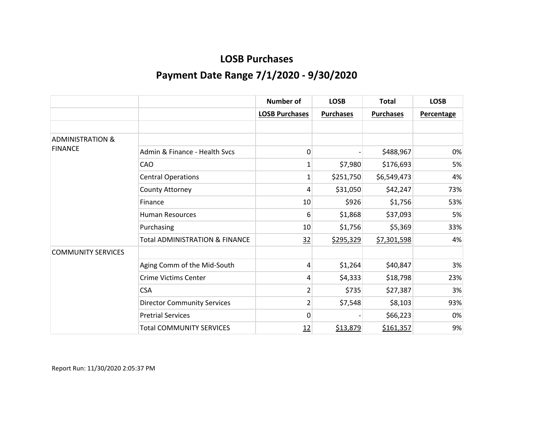|                             |                                           | <b>Number of</b>      | <b>LOSB</b>      | <b>Total</b>     | <b>LOSB</b>       |
|-----------------------------|-------------------------------------------|-----------------------|------------------|------------------|-------------------|
|                             |                                           | <b>LOSB Purchases</b> | <b>Purchases</b> | <b>Purchases</b> | <b>Percentage</b> |
|                             |                                           |                       |                  |                  |                   |
| <b>ADMINISTRATION &amp;</b> |                                           |                       |                  |                  |                   |
| <b>FINANCE</b>              | Admin & Finance - Health Sycs             | 0                     |                  | \$488,967        | 0%                |
|                             | CAO                                       | 1                     | \$7,980          | \$176,693        | 5%                |
|                             | <b>Central Operations</b>                 | 1                     | \$251,750        | \$6,549,473      | 4%                |
|                             | County Attorney                           | 4                     | \$31,050         | \$42,247         | 73%               |
|                             | Finance                                   | 10                    | \$926            | \$1,756          | 53%               |
|                             | <b>Human Resources</b>                    | 6                     | \$1,868          | \$37,093         | 5%                |
|                             | Purchasing                                | 10                    | \$1,756          | \$5,369          | 33%               |
|                             | <b>Total ADMINISTRATION &amp; FINANCE</b> | 32                    | \$295,329        | \$7,301,598      | 4%                |
| <b>COMMUNITY SERVICES</b>   |                                           |                       |                  |                  |                   |
|                             | Aging Comm of the Mid-South               | 4                     | \$1,264          | \$40,847         | 3%                |
|                             | <b>Crime Victims Center</b>               | 4                     | \$4,333          | \$18,798         | 23%               |
|                             | <b>CSA</b>                                | 2                     | \$735            | \$27,387         | 3%                |
|                             | <b>Director Community Services</b>        | $\overline{2}$        | \$7,548          | \$8,103          | 93%               |
|                             | <b>Pretrial Services</b>                  | 0                     |                  | \$66,223         | 0%                |
|                             | <b>Total COMMUNITY SERVICES</b>           | <u>12</u>             | \$13,879         | \$161,357        | 9%                |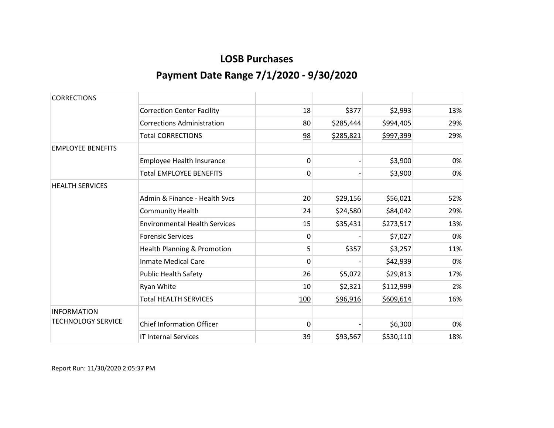| <b>CORRECTIONS</b>        |                                        |                 |           |           |     |
|---------------------------|----------------------------------------|-----------------|-----------|-----------|-----|
|                           | <b>Correction Center Facility</b>      | 18              | \$377     | \$2,993   | 13% |
|                           | <b>Corrections Administration</b>      | 80              | \$285,444 | \$994,405 | 29% |
|                           | <b>Total CORRECTIONS</b>               | 98              | \$285,821 | \$997,399 | 29% |
| <b>EMPLOYEE BENEFITS</b>  |                                        |                 |           |           |     |
|                           | Employee Health Insurance              | 0               |           | \$3,900   | 0%  |
|                           | <b>Total EMPLOYEE BENEFITS</b>         | $\overline{0}$  |           | \$3,900   | 0%  |
| <b>HEALTH SERVICES</b>    |                                        |                 |           |           |     |
|                           | Admin & Finance - Health Sycs          | 20 <sup>°</sup> | \$29,156  | \$56,021  | 52% |
|                           | <b>Community Health</b>                | 24              | \$24,580  | \$84,042  | 29% |
|                           | <b>Environmental Health Services</b>   | 15              | \$35,431  | \$273,517 | 13% |
|                           | <b>Forensic Services</b>               | $\mathbf{0}$    |           | \$7,027   | 0%  |
|                           | <b>Health Planning &amp; Promotion</b> | 5               | \$357     | \$3,257   | 11% |
|                           | <b>Inmate Medical Care</b>             | 0               |           | \$42,939  | 0%  |
|                           | <b>Public Health Safety</b>            | 26              | \$5,072   | \$29,813  | 17% |
|                           | Ryan White                             | 10              | \$2,321   | \$112,999 | 2%  |
|                           | <b>Total HEALTH SERVICES</b>           | 100             | \$96,916  | \$609,614 | 16% |
| <b>INFORMATION</b>        |                                        |                 |           |           |     |
| <b>TECHNOLOGY SERVICE</b> | <b>Chief Information Officer</b>       | 0               |           | \$6,300   | 0%  |
|                           | <b>IT Internal Services</b>            | 39              | \$93,567  | \$530,110 | 18% |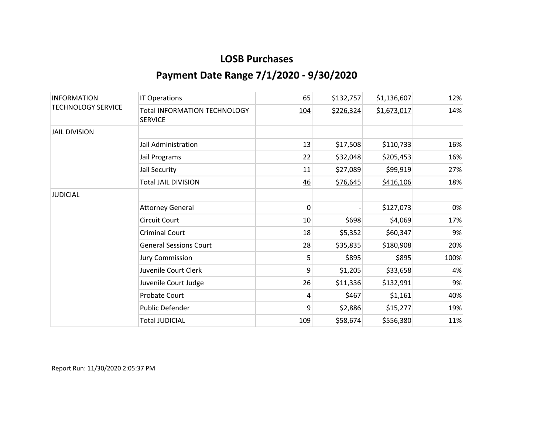| <b>INFORMATION</b><br><b>TECHNOLOGY SERVICE</b> | <b>IT Operations</b>                                  | 65           | \$132,757 | \$1,136,607 | 12%  |
|-------------------------------------------------|-------------------------------------------------------|--------------|-----------|-------------|------|
|                                                 | <b>Total INFORMATION TECHNOLOGY</b><br><b>SERVICE</b> | <u>104</u>   | \$226,324 | \$1,673,017 | 14%  |
| <b>JAIL DIVISION</b>                            |                                                       |              |           |             |      |
|                                                 | Jail Administration                                   | 13           | \$17,508  | \$110,733   | 16%  |
|                                                 | Jail Programs                                         | 22           | \$32,048  | \$205,453   | 16%  |
|                                                 | Jail Security                                         | 11           | \$27,089  | \$99,919    | 27%  |
|                                                 | <b>Total JAIL DIVISION</b>                            | 46           | \$76,645  | \$416,106   | 18%  |
| <b>JUDICIAL</b>                                 |                                                       |              |           |             |      |
|                                                 | <b>Attorney General</b>                               | $\mathbf{0}$ |           | \$127,073   | 0%   |
|                                                 | <b>Circuit Court</b>                                  | 10           | \$698     | \$4,069     | 17%  |
|                                                 | <b>Criminal Court</b>                                 | 18           | \$5,352   | \$60,347    | 9%   |
|                                                 | <b>General Sessions Court</b>                         | 28           | \$35,835  | \$180,908   | 20%  |
|                                                 | <b>Jury Commission</b>                                | 5            | \$895     | \$895       | 100% |
|                                                 | Juvenile Court Clerk                                  | 9            | \$1,205   | \$33,658    | 4%   |
|                                                 | Juvenile Court Judge                                  | 26           | \$11,336  | \$132,991   | 9%   |
|                                                 | <b>Probate Court</b>                                  | 4            | \$467     | \$1,161     | 40%  |
|                                                 | Public Defender                                       | 9            | \$2,886   | \$15,277    | 19%  |
|                                                 | <b>Total JUDICIAL</b>                                 | <u>109</u>   | \$58,674  | \$556,380   | 11%  |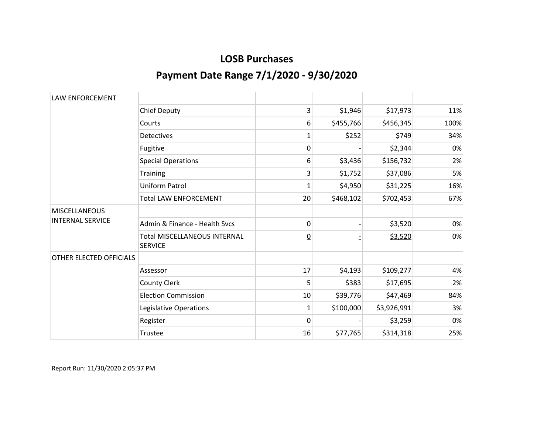| <b>LAW ENFORCEMENT</b>                          |                                                       |                 |           |             |      |
|-------------------------------------------------|-------------------------------------------------------|-----------------|-----------|-------------|------|
|                                                 | <b>Chief Deputy</b>                                   | 3               | \$1,946   | \$17,973    | 11%  |
|                                                 | Courts                                                | 6               | \$455,766 | \$456,345   | 100% |
|                                                 | <b>Detectives</b>                                     | 1               | \$252     | \$749       | 34%  |
|                                                 | Fugitive                                              | 0               |           | \$2,344     | 0%   |
|                                                 | <b>Special Operations</b>                             | 6               | \$3,436   | \$156,732   | 2%   |
|                                                 | <b>Training</b>                                       | 3               | \$1,752   | \$37,086    | 5%   |
|                                                 | <b>Uniform Patrol</b>                                 | 1               | \$4,950   | \$31,225    | 16%  |
|                                                 | <b>Total LAW ENFORCEMENT</b>                          | 20              | \$468,102 | \$702,453   | 67%  |
| <b>MISCELLANEOUS</b><br><b>INTERNAL SERVICE</b> |                                                       |                 |           |             |      |
|                                                 | Admin & Finance - Health Sycs                         | 0               |           | \$3,520     | 0%   |
|                                                 | <b>Total MISCELLANEOUS INTERNAL</b><br><b>SERVICE</b> | $\underline{0}$ |           | \$3,520     | 0%   |
| OTHER ELECTED OFFICIALS                         |                                                       |                 |           |             |      |
|                                                 | Assessor                                              | 17              | \$4,193   | \$109,277   | 4%   |
|                                                 | <b>County Clerk</b>                                   | 5               | \$383     | \$17,695    | 2%   |
|                                                 | <b>Election Commission</b>                            | 10              | \$39,776  | \$47,469    | 84%  |
|                                                 | Legislative Operations                                | 1               | \$100,000 | \$3,926,991 | 3%   |
|                                                 | Register                                              | 0               |           | \$3,259     | 0%   |
|                                                 | Trustee                                               | 16              | \$77,765  | \$314,318   | 25%  |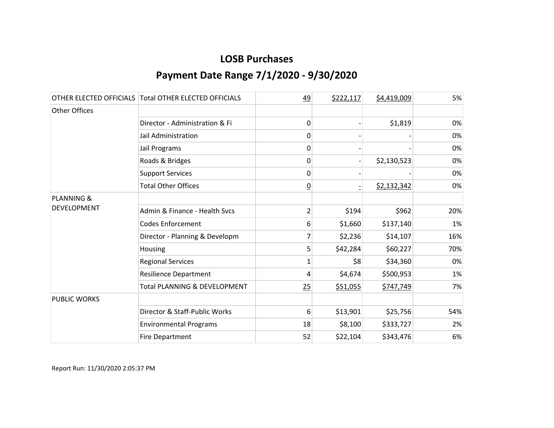|                       | OTHER ELECTED OFFICIALS Total OTHER ELECTED OFFICIALS | 49              | \$222,117 | \$4,419,009 | 5%  |
|-----------------------|-------------------------------------------------------|-----------------|-----------|-------------|-----|
| <b>Other Offices</b>  |                                                       |                 |           |             |     |
|                       | Director - Administration & Fi                        | 0               |           | \$1,819     | 0%  |
|                       | Jail Administration                                   | 0               |           |             | 0%  |
|                       | Jail Programs                                         | 0               |           |             | 0%  |
|                       | Roads & Bridges                                       | 0               |           | \$2,130,523 | 0%  |
|                       | <b>Support Services</b>                               | 0               |           |             | 0%  |
|                       | <b>Total Other Offices</b>                            | $\underline{0}$ |           | \$2,132,342 | 0%  |
| <b>PLANNING &amp;</b> |                                                       |                 |           |             |     |
| DEVELOPMENT           | Admin & Finance - Health Svcs                         | $\overline{2}$  | \$194     | \$962       | 20% |
|                       | <b>Codes Enforcement</b>                              | 6               | \$1,660   | \$137,140   | 1%  |
|                       | Director - Planning & Developm                        | 7               | \$2,236   | \$14,107    | 16% |
|                       | Housing                                               | 5               | \$42,284  | \$60,227    | 70% |
|                       | <b>Regional Services</b>                              | 1               | \$8       | \$34,360    | 0%  |
|                       | <b>Resilience Department</b>                          | 4               | \$4,674   | \$500,953   | 1%  |
|                       | <b>Total PLANNING &amp; DEVELOPMENT</b>               | 25              | \$51,055  | \$747,749   | 7%  |
| <b>PUBLIC WORKS</b>   |                                                       |                 |           |             |     |
|                       | Director & Staff-Public Works                         | 6               | \$13,901  | \$25,756    | 54% |
|                       | <b>Environmental Programs</b>                         | 18              | \$8,100   | \$333,727   | 2%  |
|                       | <b>Fire Department</b>                                | 52              | \$22,104  | \$343,476   | 6%  |